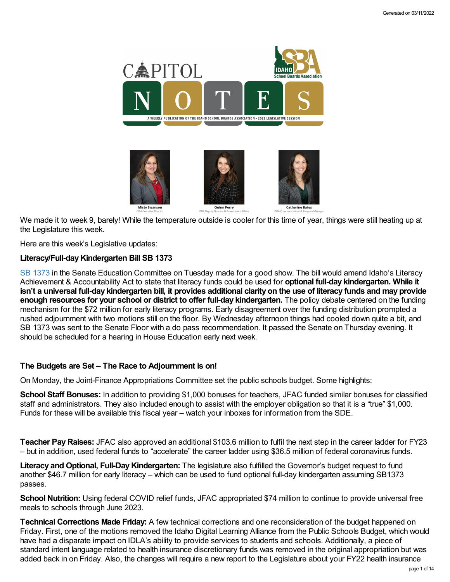

We made it to week 9, barely! While the temperature outside is cooler for this time of year, things were still heating up at the Legislature this week.

Here are this week's Legislative updates:

# **Literacy/Full-dayKindergarten Bill SB 1373**

SB [1373](https://legislature.idaho.gov/wp-content/uploads/sessioninfo/2022/legislation/S1373.pdf) in the Senate Education Committee on Tuesday made for a good show. The bill would amend Idaho's Literacy Achievement & Accountability Act to state that literacy funds could be used for **optional full-day kindergarten. While it** isn't a universal full-day kindergarten bill, it provides additional clarity on the use of literacy funds and may provide **enough resources for your school or district to offer full-day kindergarten.** The policy debate centered on the funding mechanism for the \$72 million for early literacy programs. Early disagreement over the funding distribution prompted a rushed adjournment with two motions still on the floor. By Wednesday afternoon things had cooled down quite a bit, and SB 1373 was sent to the Senate Floor with a do pass recommendation. It passed the Senate on Thursday evening. It should be scheduled for a hearing in House Education early next week.

# **The Budgets are Set – The Race to Adjournment is on!**

On Monday, the Joint-Finance Appropriations Committee set the public schools budget. Some highlights:

**School Staff Bonuses:** In addition to providing \$1,000 bonuses for teachers, JFAC funded similar bonuses for classified staff and administrators. They also included enough to assist with the employer obligation so that it is a "true" \$1,000. Funds for these will be available this fiscal year – watch your inboxes for information from the SDE.

**Teacher PayRaises:** JFAC also approved an additional \$103.6 million to fulfil the next step in the career ladder for FY23 – but in addition, used federal funds to "accelerate" the career ladder using \$36.5 million of federal coronavirus funds.

**Literacy and Optional, Full-DayKindergarten:** The legislature also fulfilled the Governor's budget request to fund another \$46.7 million for early literacy – which can be used to fund optional full-day kindergarten assuming SB1373 passes.

**School Nutrition:** Using federal COVID relief funds, JFAC appropriated \$74 million to continue to provide universal free meals to schools through June 2023.

**Technical Corrections Made Friday:** A few technical corrections and one reconsideration of the budget happened on Friday. First, one of the motions removed the Idaho Digital Learning Alliance from the Public Schools Budget, which would have had a disparate impact on IDLA's ability to provide services to students and schools. Additionally, a piece of standard intent language related to health insurance discretionary funds was removed in the original appropriation but was added back in on Friday. Also, the changes will require a new report to the Legislature about your FY22 health insurance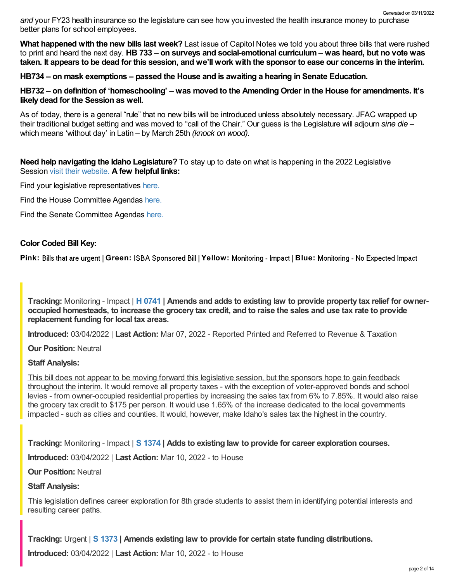*and* your FY23 health insurance so the legislature can see how you invested the health insurance money to purchase better plans for school employees. Generated on 03/11/2022

**What happened with the new bills last week?** Last issue of Capitol Notes we told you about three bills that were rushed to print and heard the next day. **HB 733 – on surveys and social-emotional curriculum – was heard, but no vote was** taken. It appears to be dead for this session, and we'll work with the sponsor to ease our concerns in the interim,

**HB734 – on mask exemptions – passed the House and is awaiting a hearing in Senate Education.**

HB732 – on definition of 'homeschooling' – was moved to the Amending Order in the House for amendments. It's **likely dead for the Session as well.**

As of today, there is a general "rule" that no new bills will be introduced unless absolutely necessary. JFAC wrapped up their traditional budget setting and was moved to "call of the Chair." Our guess is the Legislature will adjourn *sine die* – which means 'without day' in Latin – by March 25th *(knock on wood).*

**Need help navigating the Idaho Legislature?** To stay up to date on what is happening in the 2022 Legislative Session visit their [website.](https://legislature.idaho.gov/legislators/whosmylegislator/) **A few helpful links:**

Find your legislative representatives [here.](https://legislature.idaho.gov/legislators/whosmylegislator/)

Find the House Committee Agendas [here.](https://legislature.idaho.gov/sessioninfo/agenda/hagenda/)

Find the Senate Committee Agendas [here.](https://legislature.idaho.gov/sessioninfo/agenda/sagenda/)

# **Color Coded Bill Key:**

Pink: Bills that are urgent | Green: ISBA Sponsored Bill | Yellow: Monitoring - Impact | Blue: Monitoring - No Expected Impact

Tracking: Monitoring - Impact | H [0741](https://legislature.idaho.gov/sessioninfo/2022/legislation/H0741/) | Amends and adds to existing law to provide property tax relief for owneroccupied homesteads, to increase the grocery tax credit, and to raise the sales and use tax rate to provide **replacement funding for local tax areas.**

**Introduced:** 03/04/2022 | **Last Action:** Mar 07, 2022 - Reported Printed and Referred to Revenue & Taxation

**Our Position:** Neutral

# **Staff Analysis:**

This bill does not appear to be moving forward this legislative session, but the sponsors hope to gain feedback throughout the interim. It would remove all property taxes - with the exception of voter-approved bonds and school levies - from owner-occupied residential properties by increasing the sales tax from 6% to 7.85%. It would also raise the grocery tax credit to \$175 per person. It would use 1.65% of the increase dedicated to the local governments impacted - such as cities and counties. It would, however, make Idaho's sales tax the highest in the country.

**Tracking:** Monitoring - Impact | **S [1374](https://legislature.idaho.gov/sessioninfo/2022/legislation/S1374/) | Adds to existing law to provide for career exploration courses.**

**Introduced:** 03/04/2022 | **Last Action:** Mar 10, 2022 - to House

**Our Position:** Neutral

### **Staff Analysis:**

This legislation defines career exploration for 8th grade students to assist them in identifying potential interests and resulting career paths.

**Tracking:** Urgent | **S [1373](https://legislature.idaho.gov/sessioninfo/2022/legislation/S1373/) | Amends existing law to provide for certain state funding distributions.**

**Introduced:** 03/04/2022 | **Last Action:** Mar 10, 2022 - to House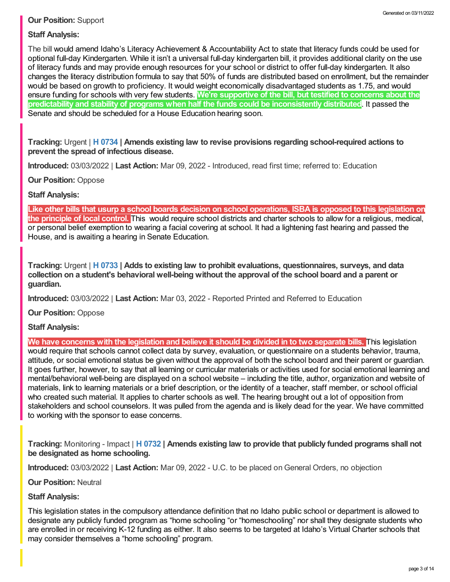# **Our Position:** Support

# **Staff Analysis:**

The bill would amend Idaho's Literacy Achievement & Accountability Act to state that literacy funds could be used for optional full-day Kindergarten. While it isn't a universal full-day kindergarten bill, it provides additional clarity on the use of literacy funds and may provide enough resources for your school or district to offer full-day kindergarten. It also changes the literacy distribution formula to say that 50% of funds are distributed based on enrollment, but the remainder would be based on growth to proficiency. It would weight economically disadvantaged students as 1.75, and would ensure funding for schools with very few students. **We're supportive of the bill, but testified to concerns about the predictability and stability of programs when half the funds could be inconsistently distributed**. It passed the Senate and should be scheduled for a House Education hearing soon.

**Tracking:** Urgent | **H [0734](https://legislature.idaho.gov/sessioninfo/2022/legislation/H0734/) | Amends existing law to revise provisions regarding school-required actions to prevent the spread of infectious disease.**

**Introduced:** 03/03/2022 | **Last Action:** Mar 09, 2022 - Introduced, read first time; referred to: Education

**Our Position:** Oppose

# **Staff Analysis:**

Like other bills that usurp a school boards decision on school operations, ISBA is opposed to this legislation on **the principle of local control.** This would require school districts and charter schools to allow for a religious, medical, or personal belief exemption to wearing a facial covering at school. It had a lightening fast hearing and passed the House, and is awaiting a hearing in Senate Education.

**Tracking:** Urgent | **H [0733](https://legislature.idaho.gov/sessioninfo/2022/legislation/H0733/) | Adds to existing law to prohibit evaluations, questionnaires, surveys, and data collection on a student's behavioral well-being without the approval of the school board and a parent or guardian.**

**Introduced:** 03/03/2022 | **Last Action:** Mar 03, 2022 - Reported Printed and Referred to Education

**Our Position:** Oppose

**Staff Analysis:**

We have concerns with the legislation and believe it should be divided in to two separate bills. This legislation would require that schools cannot collect data by survey, evaluation, or questionnaire on a students behavior, trauma, attitude, or social emotional status be given without the approval of both the school board and their parent or guardian. It goes further, however, to say that all learning or curricular materials or activities used for social emotional learning and mental/behavioral well-being are displayed on a school website – including the title, author, organization and website of materials, link to learning materials or a brief description, or the identity of a teacher, staff member, or school official who created such material. It applies to charter schools as well. The hearing brought out a lot of opposition from stakeholders and school counselors. It was pulled from the agenda and is likely dead for the year. We have committed to working with the sponsor to ease concerns.

**Tracking:** Monitoring - Impact | **H [0732](https://legislature.idaho.gov/sessioninfo/2022/legislation/H0732/) | Amends existing law to provide that publicly funded programs shall not be designated as home schooling.**

**Introduced:** 03/03/2022 | **Last Action:** Mar 09, 2022 - U.C. to be placed on General Orders, no objection

**Our Position:** Neutral

### **Staff Analysis:**

This legislation states in the compulsory attendance definition that no Idaho public school or department is allowed to designate any publicly funded program as "home schooling "or "homeschooling" nor shall they designate students who are enrolled in or receiving K-12 funding as either. It also seems to be targeted at Idaho's Virtual Charter schools that may consider themselves a "home schooling" program.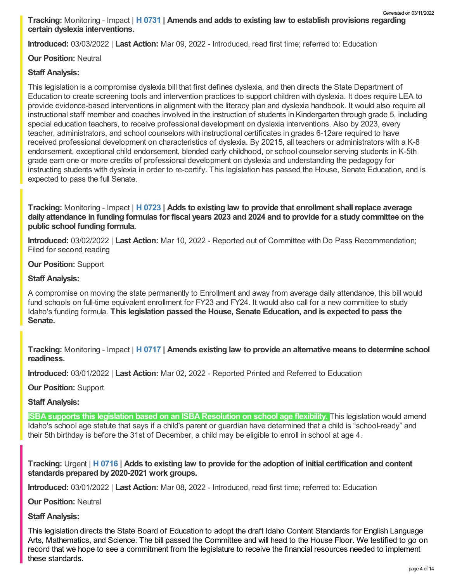**Introduced:** 03/03/2022 | **Last Action:** Mar 09, 2022 - Introduced, read first time; referred to: Education

# **Our Position:** Neutral

# **Staff Analysis:**

This legislation is a compromise dyslexia bill that first defines dyslexia, and then directs the State Department of Education to create screening tools and intervention practices to support children with dyslexia. It does require LEA to provide evidence-based interventions in alignment with the literacy plan and dyslexia handbook. It would also require all instructional staff member and coaches involved in the instruction of students in Kindergarten through grade 5, including special education teachers, to receive professional development on dyslexia interventions. Also by 2023, every teacher, administrators, and school counselors with instructional certificates in grades 6-12are required to have received professional development on characteristics of dyslexia. By 20215, all teachers or administrators with a K-8 endorsement, exceptional child endorsement, blended early childhood, or school counselor serving students in K-5th grade earn one or more credits of professional development on dyslexia and understanding the pedagogy for instructing students with dyslexia in order to re-certify. This legislation has passed the House, Senate Education, and is expected to pass the full Senate.

**Tracking:** Monitoring - Impact | **H [0723](https://legislature.idaho.gov/sessioninfo/2022/legislation/H0723/) | Adds to existing law to provide that enrollment shall replace average** daily attendance in funding formulas for fiscal years 2023 and 2024 and to provide for a study committee on the **public school funding formula.**

**Introduced:** 03/02/2022 | **Last Action:** Mar 10, 2022 - Reported out of Committee with Do Pass Recommendation; Filed for second reading

### **Our Position:** Support

# **Staff Analysis:**

A compromise on moving the state permanently to Enrollment and away from average daily attendance, this bill would fund schools on full-time equivalent enrollment for FY23 and FY24. It would also call for a new committee to study Idaho's funding formula. **This legislation passed the House, Senate Education, and is expected to pass the Senate.**

**Tracking:** Monitoring - Impact | **H [0717](https://legislature.idaho.gov/sessioninfo/2022/legislation/H0717/) | Amends existing law to provide an alternative means to determine school readiness.**

**Introduced:** 03/01/2022 | **Last Action:** Mar 02, 2022 - Reported Printed and Referred to Education

**Our Position:** Support

# **Staff Analysis:**

**ISBA supports this legislation based on an ISBA Resolution on school age flexibility.** This legislation would amend Idaho's school age statute that says if a child's parent or guardian have determined that a child is "school-ready" and their 5th birthday is before the 31st of December, a child may be eligible to enroll in school at age 4.

Tracking: Urgent | H [0716](https://legislature.idaho.gov/sessioninfo/2022/legislation/H0716/) | Adds to existing law to provide for the adoption of initial certification and content **standards prepared by 2020-2021 work groups.**

**Introduced:** 03/01/2022 | **Last Action:** Mar 08, 2022 - Introduced, read first time; referred to: Education

**Our Position:** Neutral

### **Staff Analysis:**

This legislation directs the State Board of Education to adopt the draft Idaho Content Standards for English Language Arts, Mathematics, and Science. The bill passed the Committee and will head to the House Floor. We testified to go on record that we hope to see a commitment from the legislature to receive the financial resources needed to implement these standards.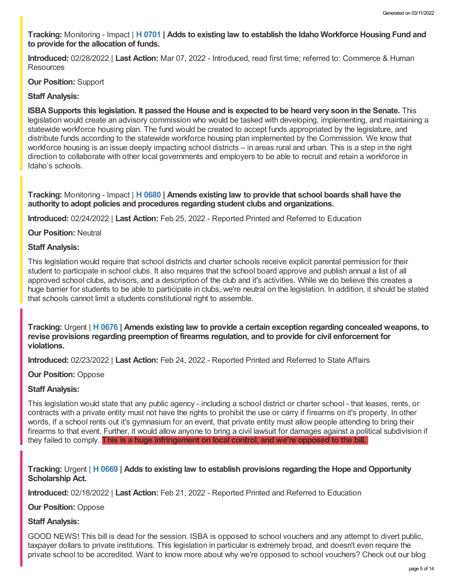**Tracking:** Monitoring - Impact | **H [0701](https://legislature.idaho.gov/sessioninfo/2022/legislation/H0701/) | Adds to existing law to establish the Idaho Workforce Housing Fund and to provide for the allocation of funds.**

**Introduced:** 02/28/2022 | **Last Action:** Mar 07, 2022 - Introduced, read first time; referred to: Commerce & Human **Resources** 

#### **Our Position:** Support

#### **Staff Analysis:**

**ISBA Supports this legislation. It passed the House and is expected to be heard very soon in the Senate.** This legislation would create an advisory commission who would be tasked with developing, implementing, and maintaining a statewide workforce housing plan. The fund would be created to accept funds appropriated by the legislature, and distribute funds according to the statewide workforce housing plan implemented by the Commission. We know that workforce housing is an issue deeply impacting school districts – in areas rural and urban. This is a step in the right direction to collaborate with other local governments and employers to be able to recruit and retain a workforce in Idaho's schools.

**Tracking:** Monitoring - Impact | **H [0680](https://legislature.idaho.gov/sessioninfo/2022/legislation/H0680/) | Amends existing law to provide that school boards shall have the authority to adopt policies and procedures regarding student clubs and organizations.**

**Introduced:** 02/24/2022 | **Last Action:** Feb 25, 2022 - Reported Printed and Referred to Education

#### **Our Position:** Neutral

#### **Staff Analysis:**

This legislation would require that school districts and charter schools receive explicit parental permission for their student to participate in school clubs. It also requires that the school board approve and publish annual a list of all approved school clubs, advisors, and a description of the club and it's activities. While we do believe this creates a huge barrier for students to be able to participate in clubs, we're neutral on the legislation. In addition, it should be stated that schools cannot limit a students constitutional right to assemble.

**Tracking:** Urgent | **H [0676](https://legislature.idaho.gov/sessioninfo/2022/legislation/H0676/) | Amends existing law to provide a certain exception regarding concealed weapons, to revise provisions regarding preemption of firearms regulation, and to provide for civil enforcement for violations.**

**Introduced:** 02/23/2022 | **Last Action:** Feb 24, 2022 - Reported Printed and Referred to State Affairs

#### **Our Position:** Oppose

#### **Staff Analysis:**

This legislation would state that any public agency - including a school district or charter school - that leases, rents, or contracts with a private entity must not have the rights to prohibit the use or carry if firearms on it's property. In other words, if a school rents out it's gymnasium for an event, that private entity must allow people attending to bring their firearms to that event. Further, it would allow anyone to bring a civil lawsuit for damages against a political subdivision if they failed to comply. **This is a huge infringement on local control, and we're opposed to the bill.**

**Tracking:** Urgent | **H [0669](https://legislature.idaho.gov/sessioninfo/2022/legislation/H0669/) | Adds to existing law to establish provisions regarding the Hope and Opportunity Scholarship Act.**

**Introduced:** 02/18/2022 | **Last Action:** Feb 21, 2022 - Reported Printed and Referred to Education

**Our Position:** Oppose

#### **Staff Analysis:**

GOOD NEWS! This bill is dead for the session. ISBA is opposed to school vouchers and any attempt to divert public, taxpayer dollars to private institutions. This legislation in particular is extremely broad, and doesn't even require the private school to be accredited. Want to know more about why we're opposed to school vouchers? Check out our blog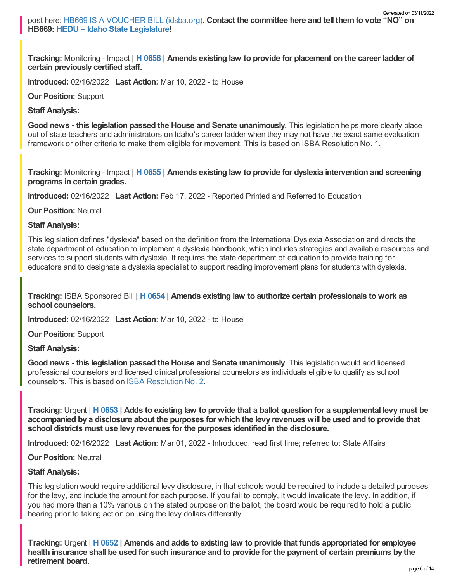**Tracking:** Monitoring - Impact | **H [0656](https://legislature.idaho.gov/sessioninfo/2022/legislation/H0656/) | Amends existing law to provide for placement on the career ladder of certain previously certified staff.**

**Introduced:** 02/16/2022 | **Last Action:** Mar 10, 2022 - to House

**Our Position:** Support

**Staff Analysis:**

**Good news - this legislation passed the House and Senate unanimously**. This legislation helps more clearly place out of state teachers and administrators on Idaho's career ladder when they may not have the exact same evaluation framework or other criteria to make them eligible for movement. This is based on ISBA Resolution No. 1.

**Tracking:** Monitoring - Impact | **H [0655](https://legislature.idaho.gov/sessioninfo/2022/legislation/H0655/) | Amends existing law to provide for dyslexia intervention and screening programs in certain grades.**

**Introduced:** 02/16/2022 | **Last Action:** Feb 17, 2022 - Reported Printed and Referred to Education

**Our Position:** Neutral

**Staff Analysis:**

This legislation defines "dyslexia" based on the definition from the International Dyslexia Association and directs the state department of education to implement a dyslexia handbook, which includes strategies and available resources and services to support students with dyslexia. It requires the state department of education to provide training for educators and to designate a dyslexia specialist to support reading improvement plans for students with dyslexia.

**Tracking:** ISBA Sponsored Bill | **H [0654](https://legislature.idaho.gov/sessioninfo/2022/legislation/H0654/) | Amends existing law to authorize certain professionals to work as school counselors.**

**Introduced:** 02/16/2022 | **Last Action:** Mar 10, 2022 - to House

**Our Position:** Support

**Staff Analysis:**

**Good news - this legislation passed the House and Senate unanimously**. This legislation would add licensed professional counselors and licensed clinical professional counselors as individuals eligible to qualify as school counselors. This is based on ISBA [Resolution](https://www.idsba.org/wp-content/uploads/2021/12/02-Hiring-Flexibility-on-Licensed-Counselors.pdf) No. 2.

Tracking: Urgent | H [0653](https://legislature.idaho.gov/sessioninfo/2022/legislation/H0653/) | Adds to existing law to provide that a ballot question for a supplemental levy must be accompanied by a disclosure about the purposes for which the levy revenues will be used and to provide that **school districts must use levy revenues for the purposes identified in the disclosure.**

**Introduced:** 02/16/2022 | **Last Action:** Mar 01, 2022 - Introduced, read first time; referred to: State Affairs

**Our Position:** Neutral

### **Staff Analysis:**

This legislation would require additional levy disclosure, in that schools would be required to include a detailed purposes for the levy, and include the amount for each purpose. If you fail to comply, it would invalidate the levy. In addition, if you had more than a 10% various on the stated purpose on the ballot, the board would be required to hold a public hearing prior to taking action on using the levy dollars differently.

Tracking: Urgent | H [0652](https://legislature.idaho.gov/sessioninfo/2022/legislation/H0652/) | Amends and adds to existing law to provide that funds appropriated for employee health insurance shall be used for such insurance and to provide for the payment of certain premiums by the **retirement board.**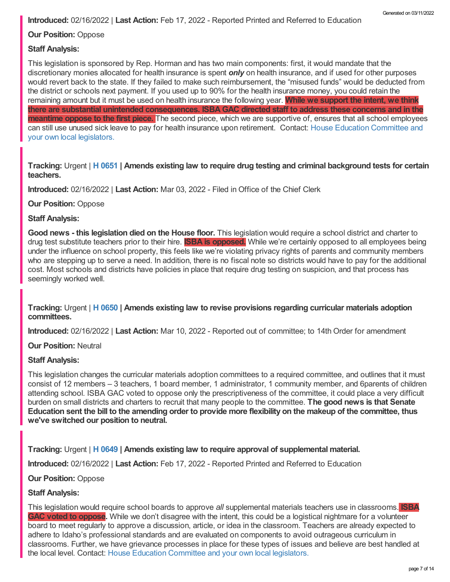**Introduced:** 02/16/2022 | **Last Action:** Feb 17, 2022 - Reported Printed and Referred to Education

**Our Position:** Oppose

## **Staff Analysis:**

This legislation is sponsored by Rep. Horman and has two main components: first, it would mandate that the discretionary monies allocated for health insurance is spent *only* on health insurance, and if used for other purposes would revert back to the state. If they failed to make such reimbursement, the "misused funds" would be deducted from the district or schools next payment. If you used up to 90% for the health insurance money, you could retain the remaining amount but it must be used on health insurance the following year. **While we support the intent, we think there are substantial unintended consequences. ISBAGAC directed staff to address these concerns and in the meantime oppose to the first piece.** The second piece, which we are supportive of, ensures that all school employees can still use unused sick leave to pay for health insurance upon retirement. Contact: House Education [Committee](https://legislature.idaho.gov/sessioninfo/2022/standingcommittees/HEDU/) and your own local legislators.

Tracking: Urgent | H [0651](https://legislature.idaho.gov/sessioninfo/2022/legislation/H0651/) | Amends existing law to require drug testing and criminal background tests for certain **teachers.**

**Introduced:** 02/16/2022 | **Last Action:** Mar 03, 2022 - Filed in Office of the Chief Clerk

**Our Position:** Oppose

### **Staff Analysis:**

**Good news - this legislation died on the House floor.** This legislation would require a school district and charter to drug test substitute teachers prior to their hire. **ISBA is opposed.** While we're certainly opposed to all employees being under the influence on school property, this feels like we're violating privacy rights of parents and community members who are stepping up to serve a need. In addition, there is no fiscal note so districts would have to pay for the additional cost. Most schools and districts have policies in place that require drug testing on suspicion, and that process has seemingly worked well.

**Tracking:** Urgent | **H [0650](https://legislature.idaho.gov/sessioninfo/2022/legislation/H0650/) | Amends existing law to revise provisions regarding curricular materials adoption committees.**

**Introduced:** 02/16/2022 | **Last Action:** Mar 10, 2022 - Reported out of committee; to 14th Order for amendment

**Our Position:** Neutral

### **Staff Analysis:**

This legislation changes the curricular materials adoption committees to a required committee, and outlines that it must consist of 12 members – 3 teachers, 1 board member, 1 administrator, 1 community member, and 6parents of children attending school. ISBA GAC voted to oppose only the prescriptiveness of the committee, it could place a very difficult burden on small districts and charters to recruit that many people to the committee. **The good news is that Senate** Education sent the bill to the amending order to provide more flexibility on the makeup of the committee, thus **we've switched our position to neutral.**

**Tracking:** Urgent | **H [0649](https://legislature.idaho.gov/sessioninfo/2022/legislation/H0649/) | Amends existing law to require approval of supplemental material.**

**Introduced:** 02/16/2022 | **Last Action:** Feb 17, 2022 - Reported Printed and Referred to Education

**Our Position:** Oppose

### **Staff Analysis:**

This legislation would require school boards to approve *all* supplemental materials teachers use in classrooms. **ISBA GAC voted to oppose.** While we don't disagree with the intent, this could be a logistical nightmare for a volunteer board to meet regularly to approve a discussion, article, or idea in the classroom. Teachers are already expected to adhere to Idaho's professional standards and are evaluated on components to avoid outrageous curriculum in classrooms. Further, we have grievance processes in place for these types of issues and believe are best handled at the local level. Contact: House Education [Committee](https://legislature.idaho.gov/sessioninfo/2022/standingcommittees/HEDU/) and your own local legislators.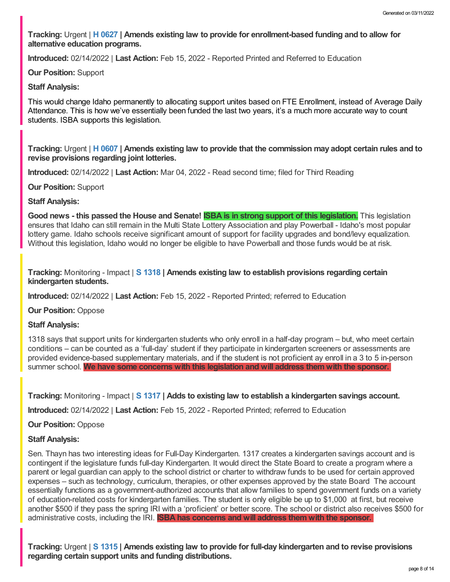**Tracking:** Urgent | **H [0627](https://legislature.idaho.gov/sessioninfo/2022/legislation/H0627/) | Amends existing law to provide for enrollment-based funding and to allow for alternative education programs.**

**Introduced:** 02/14/2022 | **Last Action:** Feb 15, 2022 - Reported Printed and Referred to Education

**Our Position:** Support

**Staff Analysis:**

This would change Idaho permanently to allocating support unites based on FTE Enrollment, instead of Average Daily Attendance. This is how we've essentially been funded the last two years, it's a much more accurate way to count students. ISBA supports this legislation.

Tracking: Urgent | H [0607](https://legislature.idaho.gov/sessioninfo/2022/legislation/H0607/) | Amends existing law to provide that the commission may adopt certain rules and to **revise provisions regarding joint lotteries.**

**Introduced:** 02/14/2022 | **Last Action:** Mar 04, 2022 - Read second time; filed for Third Reading

**Our Position:** Support

**Staff Analysis:**

Good news - this passed the House and Senate! **ISBA is in strong support of this legislation**. This legislation ensures that Idaho can still remain in the Multi State Lottery Association and play Powerball - Idaho's most popular lottery game. Idaho schools receive significant amount of support for facility upgrades and bond/levy equalization. Without this legislation, Idaho would no longer be eligible to have Powerball and those funds would be at risk.

**Tracking:** Monitoring - Impact | **S [1318](https://legislature.idaho.gov/sessioninfo/2022/legislation/S1318/) | Amends existing law to establish provisions regarding certain kindergarten students.**

**Introduced:** 02/14/2022 | **Last Action:** Feb 15, 2022 - Reported Printed; referred to Education

**Our Position:** Oppose

**Staff Analysis:**

1318 says that support units for kindergarten students who only enroll in a half-day program – but, who meet certain conditions – can be counted as a 'full-day' student if they participate in kindergarten screeners or assessments are provided evidence-based supplementary materials, and if the student is not proficient ay enroll in a 3 to 5 in-person summer school. **We have some concerns with this legislation and will address them with the sponsor.**

**Tracking:** Monitoring - Impact | **S [1317](https://legislature.idaho.gov/sessioninfo/2022/legislation/S1317/) | Adds to existing law to establish a kindergarten savings account.**

**Introduced:** 02/14/2022 | **Last Action:** Feb 15, 2022 - Reported Printed; referred to Education

**Our Position:** Oppose

### **Staff Analysis:**

Sen. Thayn has two interesting ideas for Full-Day Kindergarten. 1317 creates a kindergarten savings account and is contingent if the legislature funds full-day Kindergarten. It would direct the State Board to create a program where a parent or legal guardian can apply to the school district or charter to withdraw funds to be used for certain approved expenses – such as technology, curriculum, therapies, or other expenses approved by the state Board The account essentially functions as a government-authorized accounts that allow families to spend government funds on a variety of education-related costs for kindergarten families. The student is only eligible be up to \$1,000 at first, but receive another \$500 if they pass the spring IRI with a 'proficient' or better score. The school or district also receives \$500 for administrative costs, including the IRI. **ISBA has concerns and will address them with the sponsor.**

**Tracking:** Urgent | **S [1315](https://legislature.idaho.gov/sessioninfo/2022/legislation/S1315/) | Amends existing law to provide for full-day kindergarten and to revise provisions regarding certain support units and funding distributions.**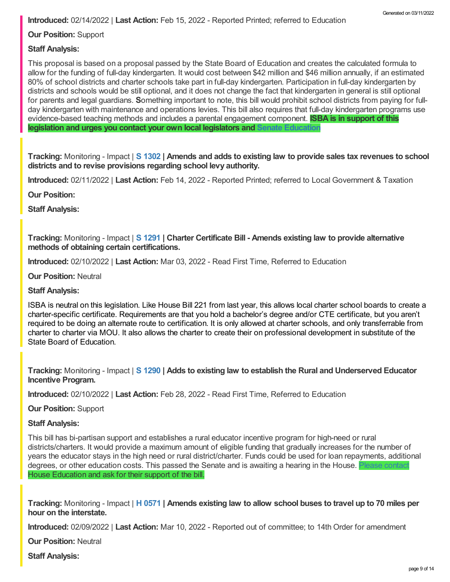**Introduced:** 02/14/2022 | **Last Action:** Feb 15, 2022 - Reported Printed; referred to Education

**Our Position:** Support

## **Staff Analysis:**

This proposal is based on a proposal passed by the State Board of Education and creates the calculated formula to allow for the funding of full-day kindergarten. It would cost between \$42 million and \$46 million annually, if an estimated 80% of school districts and charter schools take part in full-day kindergarten. Participation in full-day kindergarten by districts and schools would be still optional, and it does not change the fact that kindergarten in general is still optional for parents and legal guardians. **S**omething important to note, this bill would prohibit school districts from paying for fullday kindergarten with maintenance and operations levies. This bill also requires that full-day kindergarten programs use evidence-based teaching methods and includes a parental engagement component. **ISBA is in support of this legislation and urges you contact your own local legislators and Senate [Education](https://legislature.idaho.gov/sessioninfo/2022/standingcommittees/SEDU/)**

Tracking: Monitoring - Impact | S [1302](https://legislature.idaho.gov/sessioninfo/2022/legislation/S1302/) | Amends and adds to existing law to provide sales tax revenues to school **districts and to revise provisions regarding school levy authority.**

**Introduced:** 02/11/2022 | **Last Action:** Feb 14, 2022 - Reported Printed; referred to Local Government & Taxation

**Our Position:**

**Staff Analysis:**

**Tracking:** Monitoring - Impact | **S [1291](https://legislature.idaho.gov/sessioninfo/2022/legislation/S1291/) | Charter Certificate Bill - Amends existing law to provide alternative methods of obtaining certain certifications.**

**Introduced:** 02/10/2022 | **Last Action:** Mar 03, 2022 - Read First Time, Referred to Education

**Our Position:** Neutral

**Staff Analysis:**

ISBA is neutral on this legislation. Like House Bill 221 from last year, this allows local charter school boards to create a charter-specific certificate. Requirements are that you hold a bachelor's degree and/or CTE certificate, but you aren't required to be doing an alternate route to certification. It is only allowed at charter schools, and only transferrable from charter to charter via MOU. It also allows the charter to create their on professional development in substitute of the State Board of Education.

**Tracking:** Monitoring - Impact | **S [1290](https://legislature.idaho.gov/sessioninfo/2022/legislation/S1290/) | Adds to existing law to establish the Rural and Underserved Educator Incentive Program.**

**Introduced:** 02/10/2022 | **Last Action:** Feb 28, 2022 - Read First Time, Referred to Education

**Our Position:** Support

#### **Staff Analysis:**

This bill has bi-partisan support and establishes a rural educator incentive program for high-need or rural districts/charters. It would provide a maximum amount of eligible funding that gradually increases for the number of years the educator stays in the high need or rural district/charter. Funds could be used for loan repayments, additional degrees, or other education costs. This passed the Senate and is awaiting a hearing in the House. House Education and ask for their support of the bill.

Tracking: Monitoring - Impact | H [0571](https://legislature.idaho.gov/sessioninfo/2022/legislation/H0571/) | Amends existing law to allow school buses to travel up to 70 miles per **hour on the interstate.**

**Introduced:** 02/09/2022 | **Last Action:** Mar 10, 2022 - Reported out of committee; to 14th Order for amendment

**Our Position:** Neutral

**Staff Analysis:**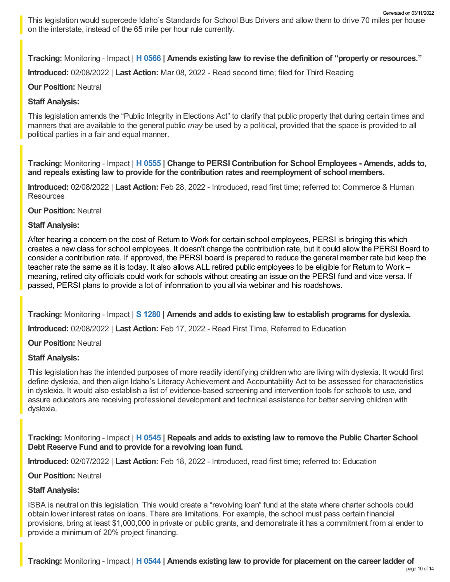This legislation would supercede Idaho's Standards for School Bus Drivers and allow them to drive 70 miles per house on the interstate, instead of the 65 mile per hour rule currently. Generated on 03/11/2022

**Tracking:** Monitoring - Impact | **H [0566](https://legislature.idaho.gov/sessioninfo/2022/legislation/H0566/) | Amends existing law to revise the definition of "property or resources."**

**Introduced:** 02/08/2022 | **Last Action:** Mar 08, 2022 - Read second time; filed for Third Reading

## **Our Position:** Neutral

# **Staff Analysis:**

This legislation amends the "Public Integrity in Elections Act" to clarify that public property that during certain times and manners that are available to the general public *may* be used by a political, provided that the space is provided to all political parties in a fair and equal manner.

**Tracking:** Monitoring - Impact | **H [0555](https://legislature.idaho.gov/sessioninfo/2022/legislation/H0555/) | Change to PERSI Contribution for School Employees - Amends, adds to, and repeals existing law to provide for the contribution rates and reemployment of school members.**

**Introduced:** 02/08/2022 | **Last Action:** Feb 28, 2022 - Introduced, read first time; referred to: Commerce & Human Resources

**Our Position:** Neutral

### **Staff Analysis:**

After hearing a concern on the cost of Return to Work for certain school employees, PERSI is bringing this which creates a new class for school employees. It doesn't change the contribution rate, but it could allow the PERSI Board to consider a contribution rate. If approved, the PERSI board is prepared to reduce the general member rate but keep the teacher rate the same as it is today. It also allows ALL retired public employees to be eligible for Return to Work – meaning, retired city officials could work for schools without creating an issue on the PERSI fund and vice versa. If passed, PERSI plans to provide a lot of information to you all via webinar and his roadshows.

**Tracking:** Monitoring - Impact | **S [1280](https://legislature.idaho.gov/sessioninfo/2022/legislation/S1280/) | Amends and adds to existing law to establish programs for dyslexia.**

**Introduced:** 02/08/2022 | **Last Action:** Feb 17, 2022 - Read First Time, Referred to Education

**Our Position:** Neutral

# **Staff Analysis:**

This legislation has the intended purposes of more readily identifying children who are living with dyslexia. It would first define dyslexia, and then align Idaho's Literacy Achievement and Accountability Act to be assessed for characteristics in dyslexia. It would also establish a list of evidence-based screening and intervention tools for schools to use, and assure educators are receiving professional development and technical assistance for better serving children with dyslexia.

**Tracking:** Monitoring - Impact | **H [0545](https://legislature.idaho.gov/sessioninfo/2022/legislation/H0545/) | Repeals and adds to existing law to remove the Public Charter School Debt Reserve Fund and to provide for a revolving loan fund.**

**Introduced:** 02/07/2022 | **Last Action:** Feb 18, 2022 - Introduced, read first time; referred to: Education

**Our Position:** Neutral

# **Staff Analysis:**

ISBA is neutral on this legislation. This would create a "revolving loan" fund at the state where charter schools could obtain lower interest rates on loans. There are limitations. For example, the school must pass certain financial provisions, bring at least \$1,000,000 in private or public grants, and demonstrate it has a commitment from al ender to provide a minimum of 20% project financing.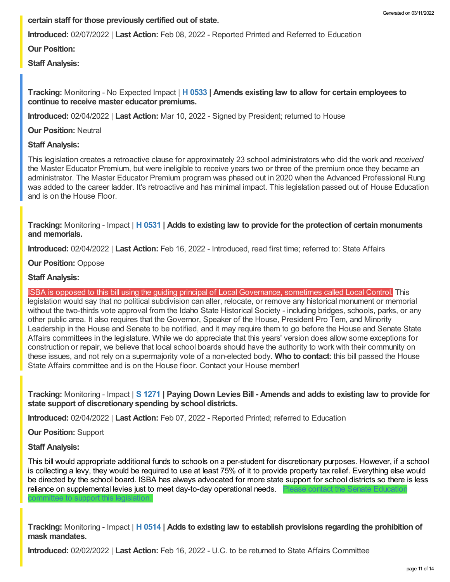# **certain staff for those previously certified out of state.**

**Introduced:** 02/07/2022 | **Last Action:** Feb 08, 2022 - Reported Printed and Referred to Education

**Our Position:**

**Staff Analysis:**

## **Tracking:** Monitoring - No Expected Impact | **H [0533](https://legislature.idaho.gov/sessioninfo/2022/legislation/H0533/) | Amends existing law to allow for certain employees to continue to receive master educator premiums.**

**Introduced:** 02/04/2022 | **Last Action:** Mar 10, 2022 - Signed by President; returned to House

**Our Position:** Neutral

# **Staff Analysis:**

This legislation creates a retroactive clause for approximately 23 school administrators who did the work and *received* the Master Educator Premium, but were ineligible to receive years two or three of the premium once they became an administrator. The Master Educator Premium program was phased out in 2020 when the Advanced Professional Rung was added to the career ladder. It's retroactive and has minimal impact. This legislation passed out of House Education and is on the House Floor.

**Tracking:** Monitoring - Impact | **H [0531](https://legislature.idaho.gov/sessioninfo/2022/legislation/H0531/) | Adds to existing law to provide for the protection of certain monuments and memorials.**

**Introduced:** 02/04/2022 | **Last Action:** Feb 16, 2022 - Introduced, read first time; referred to: State Affairs

**Our Position:** Oppose

# **Staff Analysis:**

ISBA is opposed to this bill using the guiding principal of Local Governance, sometimes called Local Control. This legislation would say that no political subdivision can alter, relocate, or remove any historical monument or memorial without the two-thirds vote approval from the Idaho State Historical Society - including bridges, schools, parks, or any other public area. It also requires that the Governor, Speaker of the House, President Pro Tem, and Minority Leadership in the House and Senate to be notified, and it may require them to go before the House and Senate State Affairs committees in the legislature. While we do appreciate that this years' version does allow some exceptions for construction or repair, we believe that local school boards should have the authority to work with their community on these issues, and not rely on a supermajority vote of a non-elected body. **Who to contact**: this bill passed the House State Affairs committee and is on the House floor. Contact your House member!

Tracking: Monitoring - Impact | S [1271](https://legislature.idaho.gov/sessioninfo/2022/legislation/S1271/) | Paying Down Levies Bill - Amends and adds to existing law to provide for **state support of discretionary spending by school districts.**

**Introduced:** 02/04/2022 | **Last Action:** Feb 07, 2022 - Reported Printed; referred to Education

**Our Position:** Support

### **Staff Analysis:**

This bill would appropriate additional funds to schools on a per-student for discretionary purposes. However, if a school is collecting a levy, they would be required to use at least 75% of it to provide property tax relief. Everything else would be directed by the school board. ISBA has always advocated for more state support for school districts so there is less reliance on [supplemental](https://legislature.idaho.gov/sessioninfo/2022/standingcommittees/SEDU/) levies just to meet day-to-day operational needs. committee to support this legislation.

**Tracking:** Monitoring - Impact | **H [0514](https://legislature.idaho.gov/sessioninfo/2022/legislation/H0514/) | Adds to existing law to establish provisions regarding the prohibition of mask mandates.**

**Introduced:** 02/02/2022 | **Last Action:** Feb 16, 2022 - U.C. to be returned to State Affairs Committee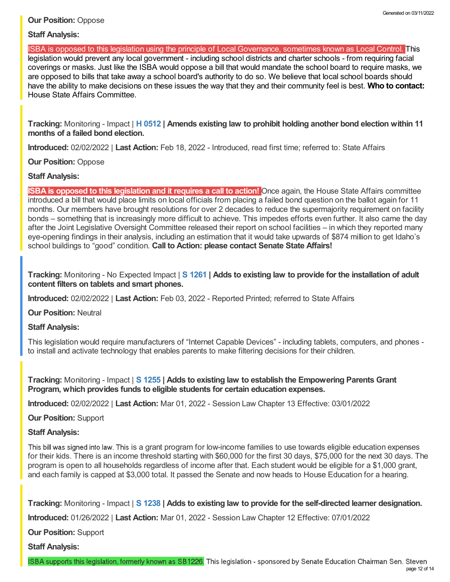## **Our Position:** Oppose

# **Staff Analysis:**

ISBA is opposed to this legislation using the principle of Local Governance, sometimes known as Local Control. This legislation would prevent any local government - including school districts and charter schools - from requiring facial coverings or masks. Just like the ISBA would oppose a bill that would mandate the school board to require masks, we are opposed to bills that take away a school board's authority to do so. We believe that local school boards should have the ability to make decisions on these issues the way that they and their community feel is best. **Who to contact:** House State Affairs [Committee.](https://legislature.idaho.gov/sessioninfo/2022/standingcommittees/HSTA/)

**Tracking:** Monitoring - Impact | **H [0512](https://legislature.idaho.gov/sessioninfo/2022/legislation/H0512/) | Amends existing law to prohibit holding another bond election within 11 months of a failed bond election.**

**Introduced:** 02/02/2022 | **Last Action:** Feb 18, 2022 - Introduced, read first time; referred to: State Affairs

# **Our Position:** Oppose

# **Staff Analysis:**

**ISBA is opposed to this legislation and it requires a call to action!** Once again, the House State Affairs committee introduced a bill that would place limits on local officials from placing a failed bond question on the ballot again for 11 months. Our members have brought resolutions for over 2 decades to reduce the supermajority requirement on facility bonds – something that is increasingly more difficult to achieve. This impedes efforts even further. It also came the day after the Joint Legislative Oversight Committee released their report on school facilities – in which they reported many eye-opening findings in their analysis, including an estimation that it would take upwards of \$874 million to get Idaho's school buildings to "good" condition. **Call to Action: please contact Senate State Affairs!**

**Tracking:** Monitoring - No Expected Impact | **S [1261](https://legislature.idaho.gov/sessioninfo/2022/legislation/S1261/) | Adds to existing law to provide for the installation of adult content filters on tablets and smart phones.**

**Introduced:** 02/02/2022 | **Last Action:** Feb 03, 2022 - Reported Printed; referred to State Affairs

**Our Position:** Neutral

**Staff Analysis:**

This legislation would require manufacturers of "Internet Capable Devices" - including tablets, computers, and phones to install and activate technology that enables parents to make filtering decisions for their children.

**Tracking:** Monitoring - Impact | **S [1255](https://legislature.idaho.gov/sessioninfo/2022/legislation/S1255/) | Adds to existing law to establish the Empowering Parents Grant Program, which provides funds to eligible students for certain education expenses.**

**Introduced:** 02/02/2022 | **Last Action:** Mar 01, 2022 - Session Law Chapter 13 Effective: 03/01/2022

**Our Position:** Support

### **Staff Analysis:**

This bill was signed into law. This is a grant program for low-income families to use towards eligible education expenses for their kids. There is an income threshold starting with \$60,000 for the first 30 days, \$75,000 for the next 30 days. The program is open to all households regardless of income after that. Each student would be eligible for a \$1,000 grant, and each family is capped at \$3,000 total. It passed the Senate and now heads to House Education for a hearing.

**Tracking:** Monitoring - Impact | **S [1238](https://legislature.idaho.gov/sessioninfo/2022/legislation/S1238/) | Adds to existing law to provide for the self-directed learner designation.**

**Introduced:** 01/26/2022 | **Last Action:** Mar 01, 2022 - Session Law Chapter 12 Effective: 07/01/2022

**Our Position:** Support

**Staff Analysis:**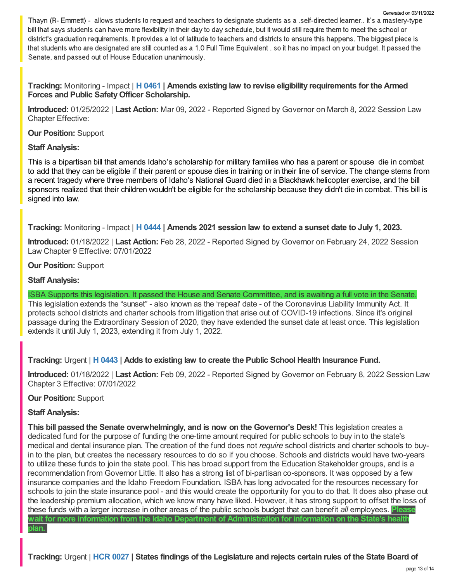Thayn (R- Emmett) - allows students to request and teachers to designate students as a .self-directed learner.. It's a mastery-type bill that says students can have more flexibility in their day to day schedule, but it would still require them to meet the school or district's graduation requirements. It provides a lot of latitude to teachers and districts to ensure this happens. The biggest piece is that students who are designated are still counted as a 1.0 Full Time Equivalent . so it has no impact on your budget. It passed the Senate, and passed out of House Education unanimously.

**Tracking:** Monitoring - Impact | **H [0461](https://legislature.idaho.gov/sessioninfo/2022/legislation/H0461/) | Amends existing law to revise eligibility requirements for the Armed Forces and Public SafetyOfficer Scholarship.**

**Introduced:** 01/25/2022 | **Last Action:** Mar 09, 2022 - Reported Signed by Governor on March 8, 2022 Session Law Chapter Effective:

**Our Position:** Support

### **Staff Analysis:**

This is a bipartisan bill that amends Idaho's scholarship for military families who has a parent or spouse die in combat to add that they can be eligible if their parent or spouse dies in training or in their line of service. The change stems from a recent tragedy where three members of Idaho's National Guard died in a Blackhawk helicopter exercise, and the bill sponsors realized that their children wouldn't be eligible for the scholarship because they didn't die in combat. This bill is signed into law.

**Tracking:** Monitoring - Impact | **H [0444](https://legislature.idaho.gov/sessioninfo/2022/legislation/H0444/) | Amends 2021 session law to extend a sunset date to July 1, 2023.**

**Introduced:** 01/18/2022 | **Last Action:** Feb 28, 2022 - Reported Signed by Governor on February 24, 2022 Session Law Chapter 9 Effective: 07/01/2022

### **Our Position:** Support

# **Staff Analysis:**

ISBA Supports this legislation. It passed the House and Senate Committee, and is awaiting a full vote in the Senate. This legislation extends the "sunset" - also known as the 'repeal' date - of the Coronavirus Liability Immunity Act. It protects school districts and charter schools from litigation that arise out of COVID-19 infections. Since it's original passage during the Extraordinary Session of 2020, they have extended the sunset date at least once. This legislation extends it until July 1, 2023, extending it from July 1, 2022.

# **Tracking:** Urgent | **H [0443](https://legislature.idaho.gov/sessioninfo/2022/legislation/H0443/) | Adds to existing law to create the Public School Health Insurance Fund.**

**Introduced:** 01/18/2022 | **Last Action:** Feb 09, 2022 - Reported Signed by Governor on February 8, 2022 Session Law Chapter 3 Effective: 07/01/2022

### **Our Position:** Support

### **Staff Analysis:**

**This bill passed the Senate overwhelmingly, and is now on the Governor's Desk!** This legislation creates a dedicated fund for the purpose of funding the one-time amount required for public schools to buy in to the state's medical and dental insurance plan. The creation of the fund does not *require* school districts and charter schools to buyin to the plan, but creates the necessary resources to do so if you choose. Schools and districts would have two-years to utilize these funds to join the state pool. This has broad support from the Education Stakeholder groups, and is a recommendation from Governor Little. It also has a strong list of bi-partisan co-sponsors. It was opposed by a few insurance companies and the Idaho Freedom Foundation. ISBA has long advocated for the resources necessary for schools to join the state insurance pool - and this would create the opportunity for you to do that. It does also phase out the leadership premium allocation, which we know many have liked. However, it has strong support to offset the loss of these funds with a larger increase in other areas of the public schools budget that can benefit *all* employees. **Please wait for more information from the Idaho Department of Administration for information on the State's health plan.**

Tracking: Urgent | HCR [0027](https://legislature.idaho.gov/sessioninfo/2022/legislation/HCR027/) | States findings of the Legislature and rejects certain rules of the State Board of

Generated on 03/11/2022